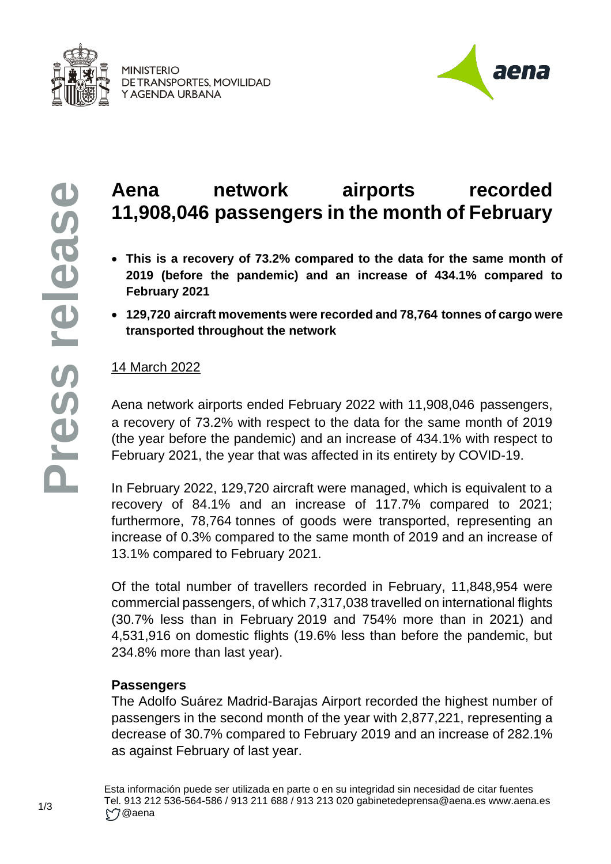



# **Aena network airports recorded 11,908,046 passengers in the month of February**

- **This is a recovery of 73.2% compared to the data for the same month of 2019 (before the pandemic) and an increase of 434.1% compared to February 2021**
- **129,720 aircraft movements were recorded and 78,764 tonnes of cargo were transported throughout the network**

## 14 March 2022

Aena network airports ended February 2022 with 11,908,046 passengers, a recovery of 73.2% with respect to the data for the same month of 2019 (the year before the pandemic) and an increase of 434.1% with respect to February 2021, the year that was affected in its entirety by COVID-19.

In February 2022, 129,720 aircraft were managed, which is equivalent to a recovery of 84.1% and an increase of 117.7% compared to 2021; furthermore, 78,764 tonnes of goods were transported, representing an increase of 0.3% compared to the same month of 2019 and an increase of 13.1% compared to February 2021.

Of the total number of travellers recorded in February, 11,848,954 were commercial passengers, of which 7,317,038 travelled on international flights (30.7% less than in February 2019 and 754% more than in 2021) and 4,531,916 on domestic flights (19.6% less than before the pandemic, but 234.8% more than last year).

## **Passengers**

The Adolfo Suárez Madrid-Barajas Airport recorded the highest number of passengers in the second month of the year with 2,877,221, representing a decrease of 30.7% compared to February 2019 and an increase of 282.1% as against February of last year.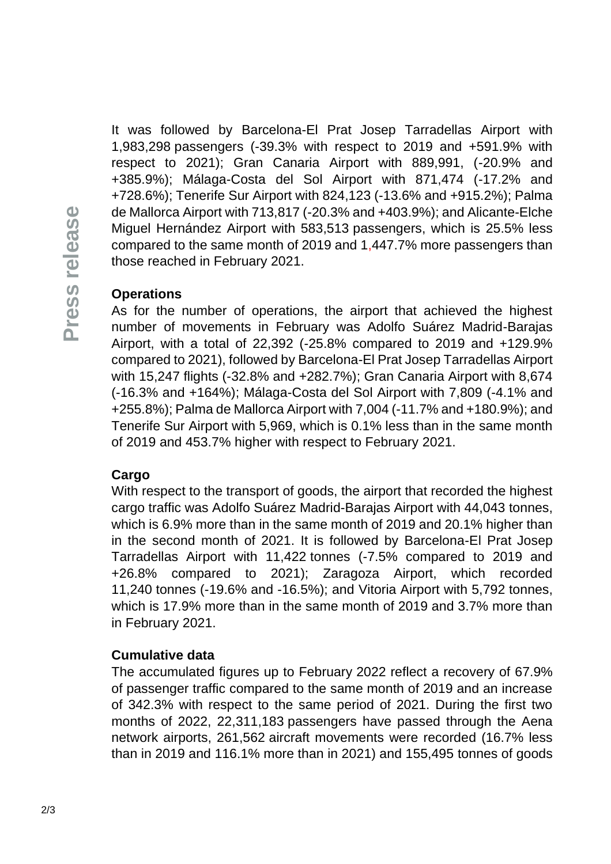It was followed by Barcelona-El Prat Josep Tarradellas Airport with 1,983,298 passengers (-39.3% with respect to 2019 and +591.9% with respect to 2021); Gran Canaria Airport with 889,991, (-20.9% and +385.9%); Málaga-Costa del Sol Airport with 871,474 (-17.2% and +728.6%); Tenerife Sur Airport with 824,123 (-13.6% and +915.2%); Palma de Mallorca Airport with 713,817 (-20.3% and +403.9%); and Alicante-Elche Miguel Hernández Airport with 583,513 passengers, which is 25.5% less compared to the same month of 2019 and 1,447.7% more passengers than those reached in February 2021.

## **Operations**

As for the number of operations, the airport that achieved the highest number of movements in February was Adolfo Suárez Madrid-Barajas Airport, with a total of 22,392 (-25.8% compared to 2019 and +129.9% compared to 2021), followed by Barcelona-El Prat Josep Tarradellas Airport with 15,247 flights (-32.8% and +282.7%); Gran Canaria Airport with 8,674 (-16.3% and +164%); Málaga-Costa del Sol Airport with 7,809 (-4.1% and +255.8%); Palma de Mallorca Airport with 7,004 (-11.7% and +180.9%); and Tenerife Sur Airport with 5,969, which is 0.1% less than in the same month of 2019 and 453.7% higher with respect to February 2021.

#### **Cargo**

With respect to the transport of goods, the airport that recorded the highest cargo traffic was Adolfo Suárez Madrid-Barajas Airport with 44,043 tonnes, which is 6.9% more than in the same month of 2019 and 20.1% higher than in the second month of 2021. It is followed by Barcelona-El Prat Josep Tarradellas Airport with 11,422 tonnes (-7.5% compared to 2019 and +26.8% compared to 2021); Zaragoza Airport, which recorded 11,240 tonnes (-19.6% and -16.5%); and Vitoria Airport with 5,792 tonnes, which is 17.9% more than in the same month of 2019 and 3.7% more than in February 2021.

#### **Cumulative data**

The accumulated figures up to February 2022 reflect a recovery of 67.9% of passenger traffic compared to the same month of 2019 and an increase of 342.3% with respect to the same period of 2021. During the first two months of 2022, 22,311,183 passengers have passed through the Aena network airports, 261,562 aircraft movements were recorded (16.7% less than in 2019 and 116.1% more than in 2021) and 155,495 tonnes of goods